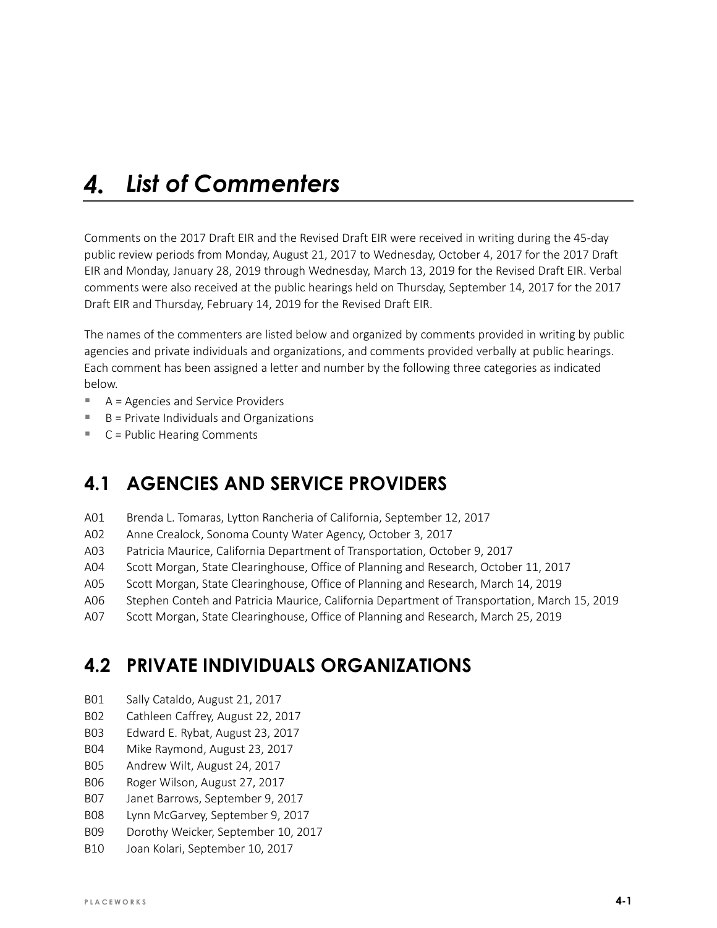#### *List of Commenters*  $\boldsymbol{\varLambda}$ .

Comments on the 2017 Draft EIR and the Revised Draft EIR were received in writing during the 45-day public review periods from Monday, August 21, 2017 to Wednesday, October 4, 2017 for the 2017 Draft EIR and Monday, January 28, 2019 through Wednesday, March 13, 2019 for the Revised Draft EIR. Verbal comments were also received at the public hearings held on Thursday, September 14, 2017 for the 2017 Draft EIR and Thursday, February 14, 2019 for the Revised Draft EIR.

The names of the commenters are listed below and organized by comments provided in writing by public agencies and private individuals and organizations, and comments provided verbally at public hearings. Each comment has been assigned a letter and number by the following three categories as indicated below.

- A = Agencies and Service Providers
- $\blacksquare$  B = Private Individuals and Organizations
- C = Public Hearing Comments

## **4.1 AGENCIES AND SERVICE PROVIDERS**

- A01 Brenda L. Tomaras, Lytton Rancheria of California, September 12, 2017
- A02 Anne Crealock, Sonoma County Water Agency, October 3, 2017
- A03 Patricia Maurice, California Department of Transportation, October 9, 2017
- A04 Scott Morgan, State Clearinghouse, Office of Planning and Research, October 11, 2017
- A05 Scott Morgan, State Clearinghouse, Office of Planning and Research, March 14, 2019
- A06 Stephen Conteh and Patricia Maurice, California Department of Transportation, March 15, 2019
- A07 Scott Morgan, State Clearinghouse, Office of Planning and Research, March 25, 2019

## **4.2 PRIVATE INDIVIDUALS ORGANIZATIONS**

- B01 Sally Cataldo, August 21, 2017
- B02 Cathleen Caffrey, August 22, 2017
- B03 Edward E. Rybat, August 23, 2017
- B04 Mike Raymond, August 23, 2017
- B05 Andrew Wilt, August 24, 2017
- B06 Roger Wilson, August 27, 2017
- B07 Janet Barrows, September 9, 2017
- B08 Lynn McGarvey, September 9, 2017
- B09 Dorothy Weicker, September 10, 2017
- B10 Joan Kolari, September 10, 2017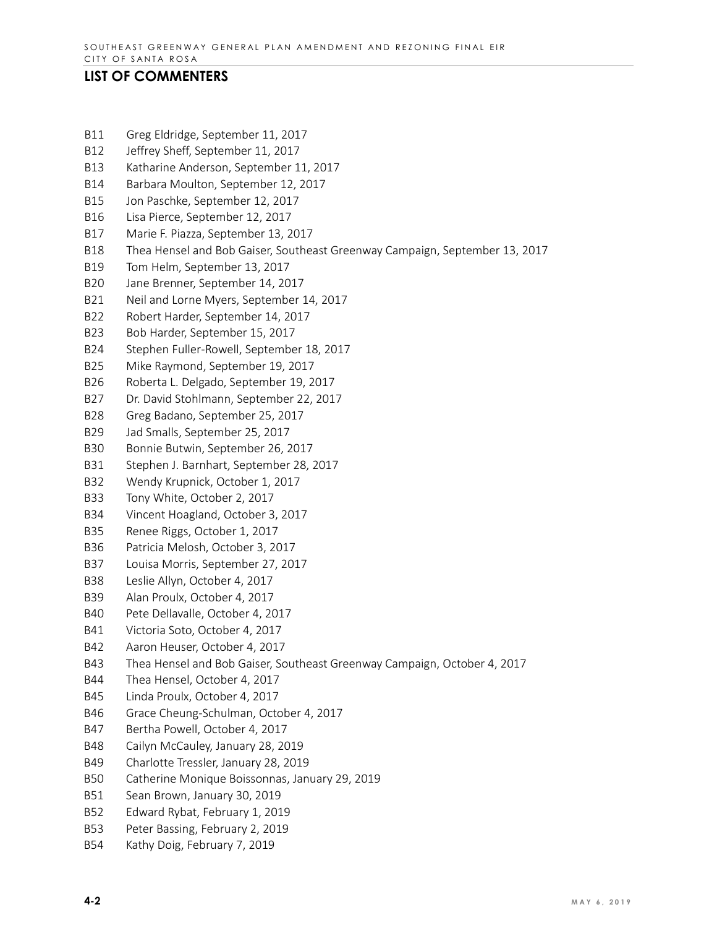### **LIST OF COMMENTERS**

- B11 Greg Eldridge, September 11, 2017
- B12 Jeffrey Sheff, September 11, 2017
- B13 Katharine Anderson, September 11, 2017
- B14 Barbara Moulton, September 12, 2017
- B15 Jon Paschke, September 12, 2017
- B16 Lisa Pierce, September 12, 2017
- B17 Marie F. Piazza, September 13, 2017
- B18 Thea Hensel and Bob Gaiser, Southeast Greenway Campaign, September 13, 2017
- B19 Tom Helm, September 13, 2017
- B20 Jane Brenner, September 14, 2017
- B21 Neil and Lorne Myers, September 14, 2017
- B22 Robert Harder, September 14, 2017
- B23 Bob Harder, September 15, 2017
- B24 Stephen Fuller-Rowell, September 18, 2017
- B25 Mike Raymond, September 19, 2017
- B26 Roberta L. Delgado, September 19, 2017
- B27 Dr. David Stohlmann, September 22, 2017
- B28 Greg Badano, September 25, 2017
- B29 Jad Smalls, September 25, 2017
- B30 Bonnie Butwin, September 26, 2017
- B31 Stephen J. Barnhart, September 28, 2017
- B32 Wendy Krupnick, October 1, 2017
- B33 Tony White, October 2, 2017
- B34 Vincent Hoagland, October 3, 2017
- B35 Renee Riggs, October 1, 2017
- B36 Patricia Melosh, October 3, 2017
- B37 Louisa Morris, September 27, 2017
- B38 Leslie Allyn, October 4, 2017
- B39 Alan Proulx, October 4, 2017
- B40 Pete Dellavalle, October 4, 2017
- B41 Victoria Soto, October 4, 2017
- B42 Aaron Heuser, October 4, 2017
- B43 Thea Hensel and Bob Gaiser, Southeast Greenway Campaign, October 4, 2017
- B44 Thea Hensel, October 4, 2017
- B45 Linda Proulx, October 4, 2017
- B46 Grace Cheung-Schulman, October 4, 2017
- B47 Bertha Powell, October 4, 2017
- B48 Cailyn McCauley, January 28, 2019
- B49 Charlotte Tressler, January 28, 2019
- B50 Catherine Monique Boissonnas, January 29, 2019
- B51 Sean Brown, January 30, 2019
- B52 Edward Rybat, February 1, 2019
- B53 Peter Bassing, February 2, 2019
- B54 Kathy Doig, February 7, 2019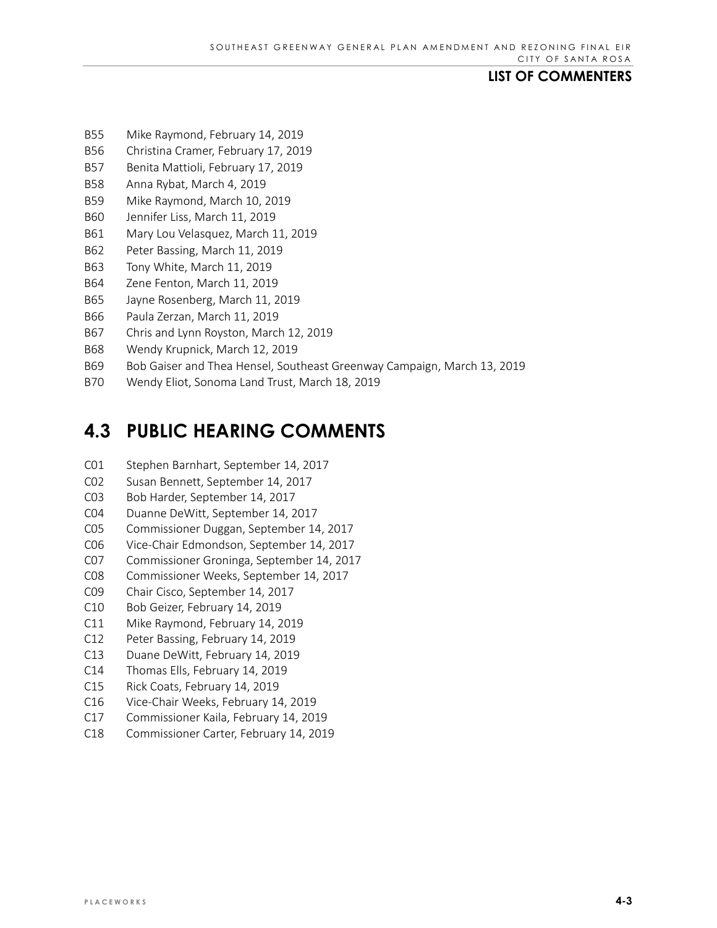#### **LIST OF COMMENTERS**

- B55 Mike Raymond, February 14, 2019
- B56 Christina Cramer, February 17, 2019
- B57 Benita Mattioli, February 17, 2019
- B58 Anna Rybat, March 4, 2019
- B59 Mike Raymond, March 10, 2019
- B60 Jennifer Liss, March 11, 2019
- B61 Mary Lou Velasquez, March 11, 2019
- B62 Peter Bassing, March 11, 2019
- B63 Tony White, March 11, 2019
- B64 Zene Fenton, March 11, 2019
- B65 Jayne Rosenberg, March 11, 2019
- B66 Paula Zerzan, March 11, 2019
- B67 Chris and Lynn Royston, March 12, 2019
- B68 Wendy Krupnick, March 12, 2019
- B69 Bob Gaiser and Thea Hensel, Southeast Greenway Campaign, March 13, 2019
- B70 Wendy Eliot, Sonoma Land Trust, March 18, 2019

# **4.3 PUBLIC HEARING COMMENTS**

- C01 Stephen Barnhart, September 14, 2017
- C02 Susan Bennett, September 14, 2017
- C03 Bob Harder, September 14, 2017
- C04 Duanne DeWitt, September 14, 2017
- C05 Commissioner Duggan, September 14, 2017
- C06 Vice-Chair Edmondson, September 14, 2017
- C07 Commissioner Groninga, September 14, 2017
- C08 Commissioner Weeks, September 14, 2017
- C09 Chair Cisco, September 14, 2017
- C10 Bob Geizer, February 14, 2019
- C11 Mike Raymond, February 14, 2019
- C12 Peter Bassing, February 14, 2019
- C13 Duane DeWitt, February 14, 2019
- C14 Thomas Ells, February 14, 2019
- C15 Rick Coats, February 14, 2019
- C16 Vice-Chair Weeks, February 14, 2019
- C17 Commissioner Kaila, February 14, 2019
- C18 Commissioner Carter, February 14, 2019